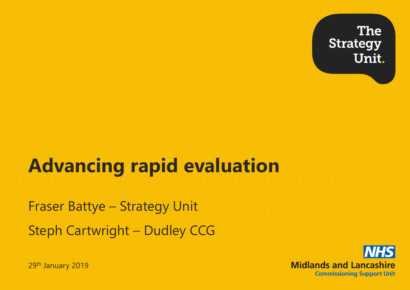### **The Strategy** Unit.

# **Advancing rapid evaluation**

Fraser Battye – Strategy Unit

## Steph Cartwright – Dudley CCG

29th January 2019

**NHS Midlands and Lancashire Commissioning Support Unit**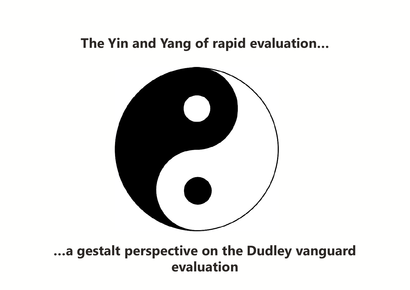### **The Yin and Yang of rapid evaluation…**



**…a gestalt perspective on the Dudley vanguard evaluation**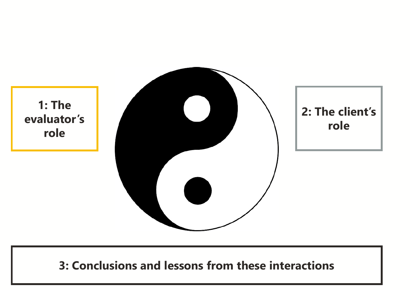**1: The evaluator's role** 



### **3: Conclusions and lessons from these interactions**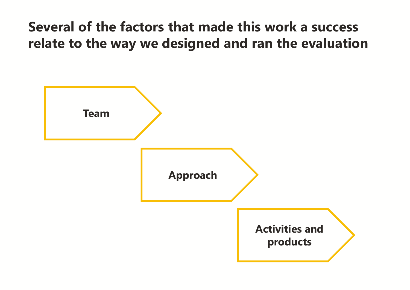## **Several of the factors that made this work a success relate to the way we designed and ran the evaluation**

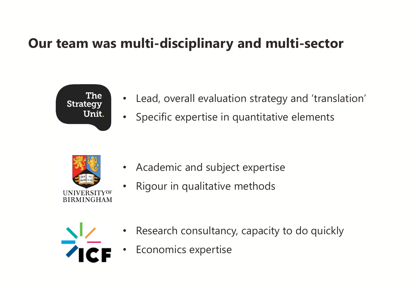## **Our team was multi-disciplinary and multi-sector**



- Lead, overall evaluation strategy and 'translation'
- Specific expertise in quantitative elements



- Academic and subject expertise
- Rigour in qualitative methods



- Research consultancy, capacity to do quickly
- Economics expertise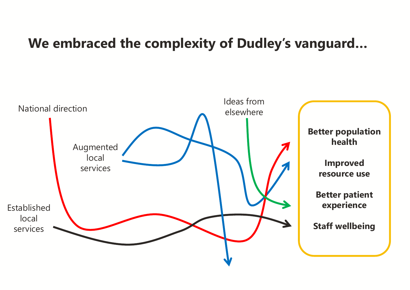### **We embraced the complexity of Dudley's vanguard…**

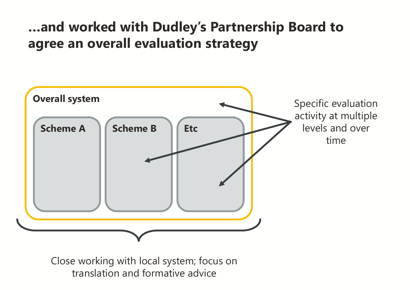## **…and worked with Dudley's Partnership Board to agree an overall evaluation strategy**



Close working with local system; focus on translation and formative advice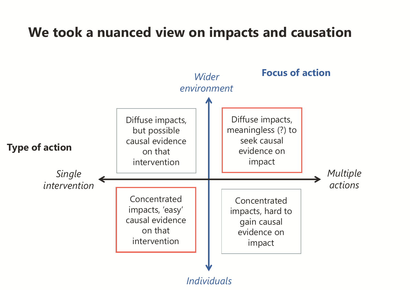## **We took a nuanced view on impacts and causation**

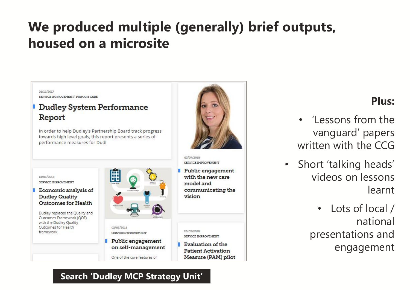## **We produced multiple (generally) brief outputs, housed on a microsite**

01/12/2017 SERVICE IMPROVEMENT | PRIMARY CARE

#### **Dudley System Performance** Report

In order to help Dudley's Partnership Board track progress towards high level goals, this report presents a series of performance measures for Dudl

13/03/2018 SERVICE IMPROVEMENT

Economic analysis of **Dudley Quality Outcomes for Health** 

Dudley replaced the Quality and Outcomes Framework (QOF) with the Dudley Quality Outcomes for Health framework





03/07/2018 SERVICE IMPROVEMENT Public engagement with the new care model and communicating the

vision

23/02/2018

SERVICE IMPROVEMENT Evaluation of the **Patient Activation** Measure (PAM) pilot

### **Plus:**

- 'Lessons from the vanguard' papers written with the CCG
- Short 'talking heads' videos on lessons learnt

• Lots of local / national presentations and engagement

#### **Search 'Dudley MCP Strategy Unit'**

One of the core features of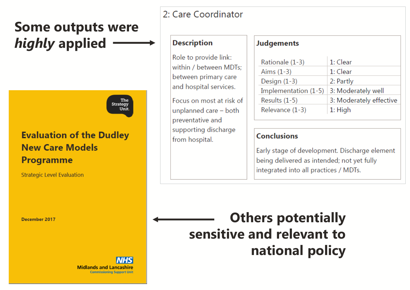## **Some outputs were**  *highly* **applied**

The<br>Strategy Unit

### **Evaluation of the Dudley New Care Models Programme**

**Strategic Level Evaluation** 

December 2017

**Midlands and Lancashire Commissioning Support Unit** 

#### 2: Care Coordinator

#### **Description**

Role to provide link: within / between MDTs: between primary care and hospital services.

Focus on most at risk of unplanned care - both preventative and supporting discharge from hospital.

#### **Judgements**

| 1: Clear                |
|-------------------------|
| 1: Clear                |
| 2: Partly               |
| 3: Moderately well      |
| 3: Moderately effective |
| $1:$ High               |
|                         |

#### **Conclusions**

Early stage of development. Discharge element being delivered as intended; not yet fully integrated into all practices / MDTs.

**Others potentially sensitive and relevant to national policy**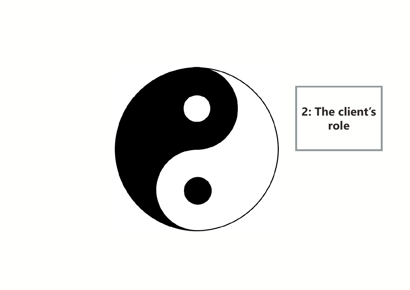

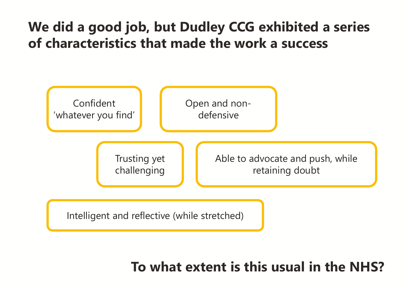## **We did a good job, but Dudley CCG exhibited a series of characteristics that made the work a success**



**To what extent is this usual in the NHS?**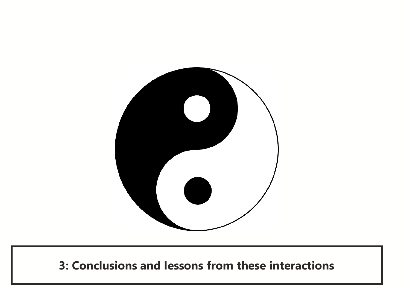

**3: Conclusions and lessons from these interactions**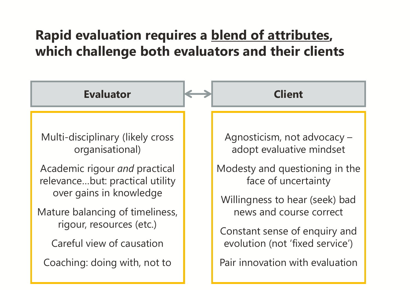## **Rapid evaluation requires a blend of attributes, which challenge both evaluators and their clients**